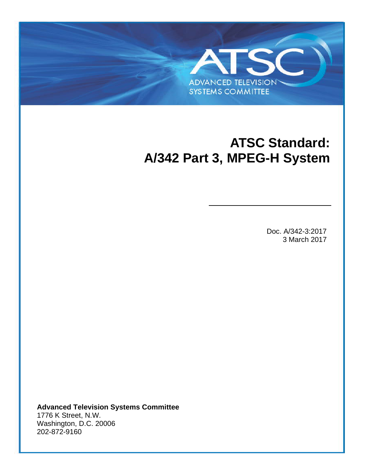# **ATSC Standard: A/342 Part 3, MPEG-H System**

**ADVANCED TELEVISION SYSTEMS COMMITTEE** 

S

Doc. A/342-3:2017 3 March 2017

**Advanced Television Systems Committee** 1776 K Street, N.W. Washington, D.C. 20006 202-872-9160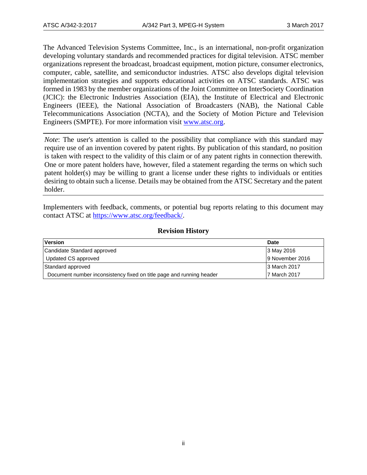The Advanced Television Systems Committee, Inc., is an international, non-profit organization developing voluntary standards and recommended practices for digital television. ATSC member organizations represent the broadcast, broadcast equipment, motion picture, consumer electronics, computer, cable, satellite, and semiconductor industries. ATSC also develops digital television implementation strategies and supports educational activities on ATSC standards. ATSC was formed in 1983 by the member organizations of the Joint Committee on InterSociety Coordination (JCIC): the Electronic Industries Association (EIA), the Institute of Electrical and Electronic Engineers (IEEE), the National Association of Broadcasters (NAB), the National Cable Telecommunications Association (NCTA), and the Society of Motion Picture and Television Engineers (SMPTE). For more information visit [www.atsc.org.](http://www.atsc.org/)

*Note*: The user's attention is called to the possibility that compliance with this standard may require use of an invention covered by patent rights. By publication of this standard, no position is taken with respect to the validity of this claim or of any patent rights in connection therewith. One or more patent holders have, however, filed a statement regarding the terms on which such patent holder(s) may be willing to grant a license under these rights to individuals or entities desiring to obtain such a license. Details may be obtained from the ATSC Secretary and the patent holder.

Implementers with feedback, comments, or potential bug reports relating to this document may contact ATSC at [https://www.atsc.org/feedback/.](https://www.atsc.org/feedback/)

## **Revision History**

| Version                                                              | <b>Date</b>     |
|----------------------------------------------------------------------|-----------------|
| Candidate Standard approved                                          | 3 May 2016      |
| Updated CS approved                                                  | 9 November 2016 |
| Standard approved                                                    | 3 March 2017    |
| Document number inconsistency fixed on title page and running header | 7 March 2017    |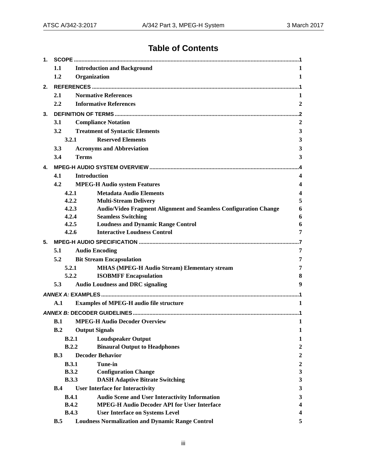## **Table of Contents**

| 1.                                          |       |                     |                                                                                                             |                                         |
|---------------------------------------------|-------|---------------------|-------------------------------------------------------------------------------------------------------------|-----------------------------------------|
|                                             | 1.1   |                     | <b>Introduction and Background</b>                                                                          | 1                                       |
|                                             | 1.2   | Organization        |                                                                                                             | 1                                       |
| 2.                                          |       |                     |                                                                                                             |                                         |
|                                             | 2.1   |                     | <b>Normative References</b>                                                                                 | 1                                       |
|                                             | 2.2   |                     | <b>Informative References</b>                                                                               | $\mathbf{2}$                            |
| 3.                                          |       |                     |                                                                                                             | . 2                                     |
|                                             | 3.1   |                     | <b>Compliance Notation</b>                                                                                  | $\overline{2}$                          |
|                                             | 3.2   |                     | <b>Treatment of Syntactic Elements</b>                                                                      | $\mathbf{3}$                            |
|                                             | 3.2.1 |                     | <b>Reserved Elements</b>                                                                                    | $\mathbf{3}$                            |
|                                             | 3.3   |                     | <b>Acronyms and Abbreviation</b>                                                                            | $\mathbf{3}$                            |
|                                             | 3.4   | <b>Terms</b>        |                                                                                                             | 3                                       |
| 4.                                          |       |                     |                                                                                                             |                                         |
|                                             | 4.1   | <b>Introduction</b> |                                                                                                             | 4                                       |
|                                             | 4.2   |                     | <b>MPEG-H Audio system Features</b>                                                                         | $\overline{\mathbf{4}}$                 |
|                                             | 4.2.1 |                     | <b>Metadata Audio Elements</b>                                                                              | $\overline{\mathbf{4}}$                 |
|                                             |       | 4.2.2               | <b>Multi-Stream Delivery</b>                                                                                | 5                                       |
|                                             |       | 4.2.3               | Audio/Video Fragment Alignment and Seamless Configuration Change                                            | 6                                       |
|                                             | 4.2.4 |                     | <b>Seamless Switching</b>                                                                                   | 6                                       |
|                                             | 4.2.5 |                     | <b>Loudness and Dynamic Range Control</b>                                                                   | 6                                       |
|                                             | 4.2.6 |                     | <b>Interactive Loudness Control</b>                                                                         | 7                                       |
| 5.                                          |       |                     |                                                                                                             | .7                                      |
|                                             | 5.1   |                     | <b>Audio Encoding</b>                                                                                       | 7                                       |
|                                             | 5.2   |                     | <b>Bit Stream Encapsulation</b>                                                                             | 7                                       |
|                                             | 5.2.1 |                     | <b>MHAS (MPEG-H Audio Stream) Elementary stream</b>                                                         | 7                                       |
|                                             | 5.2.2 |                     | <b>ISOBMFF Encapsulation</b>                                                                                | 8                                       |
|                                             | 5.3   |                     | <b>Audio Loudness and DRC signaling</b>                                                                     | 9                                       |
|                                             |       |                     |                                                                                                             |                                         |
|                                             | A.1   |                     | <b>Examples of MPEG-H audio file structure</b>                                                              | $\mathbf{1}$                            |
|                                             |       |                     |                                                                                                             |                                         |
| <b>MPEG-H Audio Decoder Overview</b><br>B.1 |       |                     | $\mathbf{1}$                                                                                                |                                         |
|                                             | B.2   |                     | <b>Output Signals</b>                                                                                       | 1                                       |
|                                             |       | B.2.1               | <b>Loudspeaker Output</b>                                                                                   | $\mathbf{1}$                            |
|                                             |       | B.2.2               | <b>Binaural Output to Headphones</b>                                                                        | $\boldsymbol{2}$                        |
|                                             | B.3   |                     | <b>Decoder Behavior</b>                                                                                     | $\boldsymbol{2}$                        |
|                                             |       | B.3.1               | <b>Tune-in</b>                                                                                              | $\boldsymbol{2}$                        |
|                                             |       | B.3.2               | <b>Configuration Change</b>                                                                                 | $\mathbf{3}$                            |
|                                             |       | <b>B.3.3</b>        | <b>DASH Adaptive Bitrate Switching</b>                                                                      | $\mathbf{3}$                            |
|                                             | B.4   |                     | <b>User Interface for Interactivity</b>                                                                     | $\mathbf{3}$                            |
|                                             |       | B.4.1<br>B.4.2      | <b>Audio Scene and User Interactivity Information</b><br><b>MPEG-H Audio Decoder API for User Interface</b> | $\mathbf{3}$<br>$\overline{\mathbf{4}}$ |
|                                             |       | <b>B.4.3</b>        | <b>User Interface on Systems Level</b>                                                                      | 4                                       |
|                                             | B.5   |                     | <b>Loudness Normalization and Dynamic Range Control</b>                                                     | 5                                       |
|                                             |       |                     |                                                                                                             |                                         |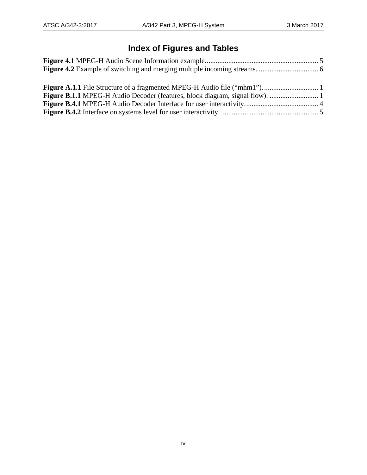# **Index of Figures and Tables**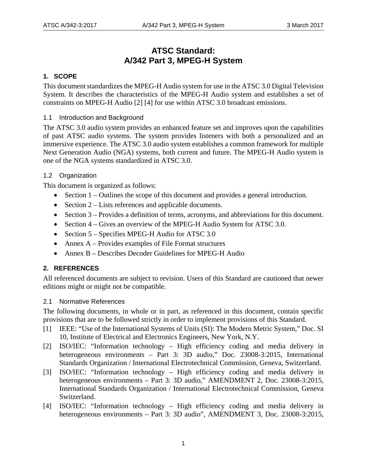## **ATSC Standard: A/342 Part 3, MPEG-H System**

## <span id="page-4-0"></span>**1. SCOPE**

This document standardizes the MPEG-H Audio system for use in the ATSC 3.0 Digital Television System. It describes the characteristics of the MPEG-H Audio system and establishes a set of constraints on MPEG-H Audio [\[2\]](#page-4-5) [\[4\]](#page-4-6) for use within ATSC 3.0 broadcast emissions.

## <span id="page-4-1"></span>1.1 Introduction and Background

The ATSC 3.0 audio system provides an enhanced feature set and improves upon the capabilities of past ATSC audio systems. The system provides listeners with both a personalized and an immersive experience. The ATSC 3.0 audio system establishes a common framework for multiple Next Generation Audio (NGA) systems, both current and future. The MPEG-H Audio system is one of the NGA systems standardized in ATSC 3.0.

## <span id="page-4-2"></span>1.2 Organization

This document is organized as follows:

- Section 1 Outlines the scope of this document and provides a general introduction.
- Section 2 Lists references and applicable documents.
- Section 3 Provides a definition of terms, acronyms, and abbreviations for this document.
- Section 4 Gives an overview of the MPEG-H Audio System for ATSC 3.0.
- Section 5 Specifies MPEG-H Audio for ATSC 3.0
- Annex A Provides examples of File Format structures
- Annex B Describes Decoder Guidelines for MPEG-H Audio

## <span id="page-4-3"></span>**2. REFERENCES**

All referenced documents are subject to revision. Users of this Standard are cautioned that newer editions might or might not be compatible.

## <span id="page-4-4"></span>2.1 Normative References

The following documents, in whole or in part, as referenced in this document, contain specific provisions that are to be followed strictly in order to implement provisions of this Standard.

- <span id="page-4-7"></span>[1] IEEE: "Use of the International Systems of Units (SI): The Modern Metric System," Doc. SI 10, Institute of Electrical and Electronics Engineers, New York, N.Y.
- <span id="page-4-5"></span>[2] ISO/IEC: "Information technology – High efficiency coding and media delivery in heterogeneous environments – Part 3: 3D audio," Doc. 23008-3:2015, International Standards Organization / International Electrotechnical Commission, Geneva, Switzerland.
- <span id="page-4-8"></span>[3] ISO/IEC: "Information technology – High efficiency coding and media delivery in heterogeneous environments – Part 3: 3D audio," AMENDMENT 2, Doc. 23008-3:2015, International Standards Organization / International Electrotechnical Commission, Geneva Switzerland.
- <span id="page-4-6"></span>[4] ISO/IEC: "Information technology – High efficiency coding and media delivery in heterogeneous environments – Part 3: 3D audio", AMENDMENT 3, Doc. 23008-3:2015,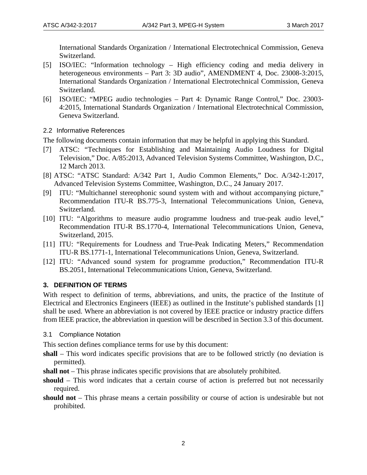International Standards Organization / International Electrotechnical Commission, Geneva Switzerland.

- <span id="page-5-7"></span>[5] ISO/IEC: "Information technology – High efficiency coding and media delivery in heterogeneous environments – Part 3: 3D audio", AMENDMENT 4, Doc. 23008-3:2015, International Standards Organization / International Electrotechnical Commission, Geneva Switzerland.
- <span id="page-5-8"></span>[6] ISO/IEC: "MPEG audio technologies – Part 4: Dynamic Range Control," Doc. 23003- 4:2015, International Standards Organization / International Electrotechnical Commission, Geneva Switzerland.
- <span id="page-5-0"></span>2.2 Informative References

The following documents contain information that may be helpful in applying this Standard.

- <span id="page-5-4"></span>[7] ATSC: "Techniques for Establishing and Maintaining Audio Loudness for Digital Television," Doc. A/85:2013, Advanced Television Systems Committee, Washington, D.C., 12 March 2013.
- <span id="page-5-6"></span><span id="page-5-3"></span>[8] ATSC: "ATSC Standard: A/342 Part 1, Audio Common Elements," Doc. A/342-1:2017, Advanced Television Systems Committee, Washington, D.C., 24 January 2017.
- <span id="page-5-9"></span>[9] ITU: "Multichannel stereophonic sound system with and without accompanying picture," Recommendation ITU-R BS.775-3, International Telecommunications Union, Geneva, Switzerland.
- [10] ITU: "Algorithms to measure audio programme loudness and true-peak audio level," Recommendation ITU-R BS.1770-4, International Telecommunications Union, Geneva, Switzerland, 2015.
- <span id="page-5-5"></span>[11] ITU: "Requirements for Loudness and True-Peak Indicating Meters," Recommendation ITU-R BS.1771-1, International Telecommunications Union, Geneva, Switzerland.
- <span id="page-5-10"></span>[12] ITU: "Advanced sound system for programme production," Recommendation ITU-R BS.2051, International Telecommunications Union, Geneva, Switzerland.

## <span id="page-5-1"></span>**3. DEFINITION OF TERMS**

With respect to definition of terms, abbreviations, and units, the practice of the Institute of Electrical and Electronics Engineers (IEEE) as outlined in the Institute's published standards [\[1\]](#page-4-7) shall be used. Where an abbreviation is not covered by IEEE practice or industry practice differs from IEEE practice, the abbreviation in question will be described in Section 3.3 of this document.

<span id="page-5-2"></span>3.1 Compliance Notation

This section defines compliance terms for use by this document:

- **shall** This word indicates specific provisions that are to be followed strictly (no deviation is permitted).
- **shall not** This phrase indicates specific provisions that are absolutely prohibited.
- **should** This word indicates that a certain course of action is preferred but not necessarily required.
- **should not** This phrase means a certain possibility or course of action is undesirable but not prohibited.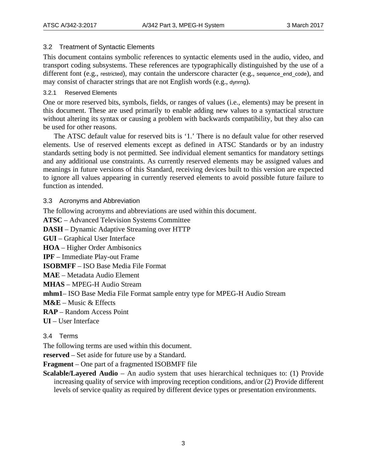## <span id="page-6-0"></span>3.2 Treatment of Syntactic Elements

This document contains symbolic references to syntactic elements used in the audio, video, and transport coding subsystems. These references are typographically distinguished by the use of a different font (e.g., restricted), may contain the underscore character (e.g., sequence\_end\_code), and may consist of character strings that are not English words (e.g., dynrng).

## <span id="page-6-1"></span>3.2.1 Reserved Elements

One or more reserved bits, symbols, fields, or ranges of values (i.e., elements) may be present in this document. These are used primarily to enable adding new values to a syntactical structure without altering its syntax or causing a problem with backwards compatibility, but they also can be used for other reasons.

The ATSC default value for reserved bits is '1.' There is no default value for other reserved elements. Use of reserved elements except as defined in ATSC Standards or by an industry standards setting body is not permitted. See individual element semantics for mandatory settings and any additional use constraints. As currently reserved elements may be assigned values and meanings in future versions of this Standard, receiving devices built to this version are expected to ignore all values appearing in currently reserved elements to avoid possible future failure to function as intended.

## <span id="page-6-2"></span>3.3 Acronyms and Abbreviation

The following acronyms and abbreviations are used within this document.

**ATSC** – Advanced Television Systems Committee

**DASH** – Dynamic Adaptive Streaming over HTTP

**GUI** – Graphical User Interface

**HOA** – Higher Order Ambisonics

**IPF** – Immediate Play-out Frame

**ISOBMFF** – ISO Base Media File Format

**MAE** – Metadata Audio Element

**MHAS** – MPEG-H Audio Stream

**mhm1**– ISO Base Media File Format sample entry type for MPEG-H Audio Stream

**M&E** – Music & Effects

**RAP** – Random Access Point

**UI** – User Interface

## <span id="page-6-3"></span>3.4 Terms

The following terms are used within this document.

**reserved** – Set aside for future use by a Standard.

**Fragment** – One part of a fragmented ISOBMFF file

**Scalable/Layered Audio** – An audio system that uses hierarchical techniques to: (1) Provide increasing quality of service with improving reception conditions, and/or (2) Provide different levels of service quality as required by different device types or presentation environments.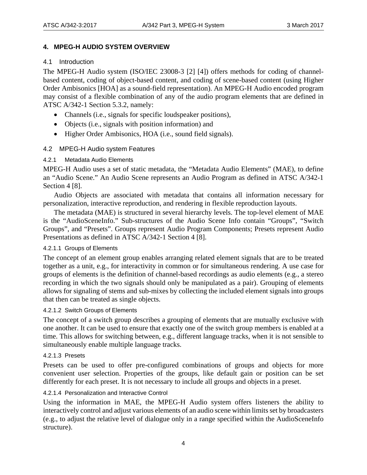## <span id="page-7-0"></span>**4. MPEG-H AUDIO SYSTEM OVERVIEW**

## <span id="page-7-1"></span>4.1 Introduction

The MPEG-H Audio system (ISO/IEC 23008-3 [\[2\]](#page-4-5) [\[4\]\)](#page-4-6) offers methods for coding of channelbased content, coding of object-based content, and coding of scene-based content (using Higher Order Ambisonics [HOA] as a sound-field representation). An MPEG-H Audio encoded program may consist of a flexible combination of any of the audio program elements that are defined in ATSC A/342-1 Section 5.3.2, namely:

- Channels (i.e., signals for specific loudspeaker positions),
- Objects (i.e., signals with position information) and
- Higher Order Ambisonics, HOA (i.e., sound field signals).

## <span id="page-7-2"></span>4.2 MPEG-H Audio system Features

## <span id="page-7-3"></span>4.2.1 Metadata Audio Elements

MPEG-H Audio uses a set of static metadata, the "Metadata Audio Elements" (MAE), to define an "Audio Scene." An Audio Scene represents an Audio Program as defined in ATSC A/342-1 Section 4 [\[8\].](#page-5-3)

Audio Objects are associated with metadata that contains all information necessary for personalization, interactive reproduction, and rendering in flexible reproduction layouts.

The metadata (MAE) is structured in several hierarchy levels. The top-level element of MAE is the "AudioSceneInfo." Sub-structures of the Audio Scene Info contain "Groups", "Switch Groups", and "Presets". Groups represent Audio Program Components; Presets represent Audio Presentations as defined in ATSC A/342-1 Section 4 [\[8\].](#page-5-3)

## 4.2.1.1 Groups of Elements

The concept of an element group enables arranging related element signals that are to be treated together as a unit, e.g., for interactivity in common or for simultaneous rendering. A use case for groups of elements is the definition of channel-based recordings as audio elements (e.g., a stereo recording in which the two signals should only be manipulated as a pair). Grouping of elements allows for signaling of stems and sub-mixes by collecting the included element signals into groups that then can be treated as single objects.

#### 4.2.1.2 Switch Groups of Elements

The concept of a switch group describes a grouping of elements that are mutually exclusive with one another. It can be used to ensure that exactly one of the switch group members is enabled at a time. This allows for switching between, e.g., different language tracks, when it is not sensible to simultaneously enable multiple language tracks.

#### 4.2.1.3 Presets

Presets can be used to offer pre-configured combinations of groups and objects for more convenient user selection. Properties of the groups, like default gain or position can be set differently for each preset. It is not necessary to include all groups and objects in a preset.

#### 4.2.1.4 Personalization and Interactive Control

Using the information in MAE, the MPEG-H Audio system offers listeners the ability to interactively control and adjust various elements of an audio scene within limits set by broadcasters (e.g., to adjust the relative level of dialogue only in a range specified within the AudioSceneInfo structure).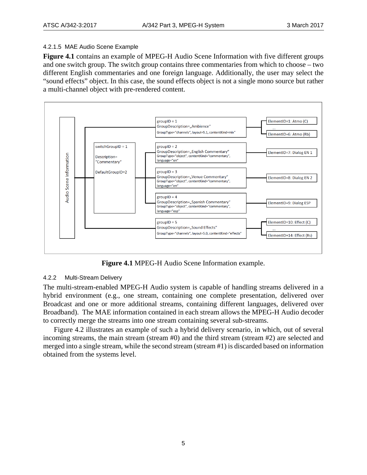#### 4.2.1.5 MAE Audio Scene Example

**[Figure 4.1](#page-8-1)** contains an example of MPEG-H Audio Scene Information with five different groups and one switch group. The switch group contains three commentaries from which to choose – two different English commentaries and one foreign language. Additionally, the user may select the "sound effects" object. In this case, the sound effects object is not a single mono source but rather a multi-channel object with pre-rendered content.



**Figure 4.1** MPEG-H Audio Scene Information example.

## <span id="page-8-1"></span><span id="page-8-0"></span>4.2.2 Multi-Stream Delivery

The multi-stream-enabled MPEG-H Audio system is capable of handling streams delivered in a hybrid environment (e.g., one stream, containing one complete presentation, delivered over Broadcast and one or more additional streams, containing different languages, delivered over Broadband). The MAE information contained in each stream allows the MPEG-H Audio decoder to correctly merge the streams into one stream containing several sub-streams.

[Figure 4.2](#page-9-3) illustrates an example of such a hybrid delivery scenario, in which, out of several incoming streams, the main stream (stream #0) and the third stream (stream #2) are selected and merged into a single stream, while the second stream (stream #1) is discarded based on information obtained from the systems level.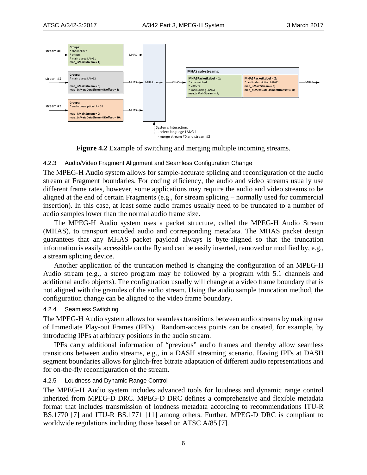

**Figure 4.2** Example of switching and merging multiple incoming streams.

#### <span id="page-9-3"></span><span id="page-9-0"></span>4.2.3 Audio/Video Fragment Alignment and Seamless Configuration Change

The MPEG-H Audio system allows for sample-accurate splicing and reconfiguration of the audio stream at Fragment boundaries. For coding efficiency, the audio and video streams usually use different frame rates, however, some applications may require the audio and video streams to be aligned at the end of certain Fragments (e.g., for stream splicing – normally used for commercial insertion). In this case, at least some audio frames usually need to be truncated to a number of audio samples lower than the normal audio frame size.

The MPEG-H Audio system uses a packet structure, called the MPEG-H Audio Stream (MHAS), to transport encoded audio and corresponding metadata. The MHAS packet design guarantees that any MHAS packet payload always is byte-aligned so that the truncation information is easily accessible on the fly and can be easily inserted, removed or modified by, e.g., a stream splicing device.

Another application of the truncation method is changing the configuration of an MPEG-H Audio stream (e.g., a stereo program may be followed by a program with 5.1 channels and additional audio objects). The configuration usually will change at a video frame boundary that is not aligned with the granules of the audio stream. Using the audio sample truncation method, the configuration change can be aligned to the video frame boundary.

#### <span id="page-9-1"></span>4.2.4 Seamless Switching

The MPEG-H Audio system allows for seamless transitions between audio streams by making use of Immediate Play-out Frames (IPFs). Random-access points can be created, for example, by introducing IPFs at arbitrary positions in the audio stream.

IPFs carry additional information of "previous" audio frames and thereby allow seamless transitions between audio streams, e.g., in a DASH streaming scenario. Having IPFs at DASH segment boundaries allows for glitch-free bitrate adaptation of different audio representations and for on-the-fly reconfiguration of the stream.

#### <span id="page-9-2"></span>4.2.5 Loudness and Dynamic Range Control

The MPEG-H Audio system includes advanced tools for loudness and dynamic range control inherited from MPEG-D DRC. MPEG-D DRC defines a comprehensive and flexible metadata format that includes transmission of loudness metadata according to recommendations ITU-R BS.1770 [\[7\]](#page-5-4) and ITU-R BS.1771 [\[11\]](#page-5-5) among others. Further, MPEG-D DRC is compliant to worldwide regulations including those based on ATSC A/85 [\[7\].](#page-5-6)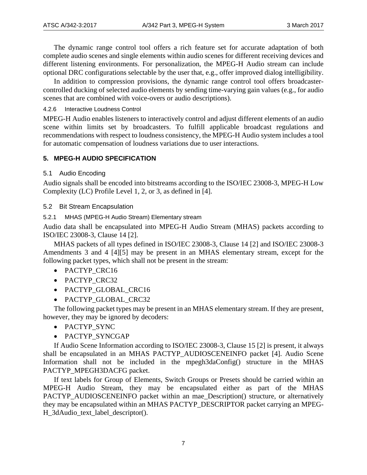The dynamic range control tool offers a rich feature set for accurate adaptation of both complete audio scenes and single elements within audio scenes for different receiving devices and different listening environments. For personalization, the MPEG-H Audio stream can include optional DRC configurations selectable by the user that, e.g., offer improved dialog intelligibility.

In addition to compression provisions, the dynamic range control tool offers broadcastercontrolled ducking of selected audio elements by sending time-varying gain values (e.g., for audio scenes that are combined with voice-overs or audio descriptions).

<span id="page-10-0"></span>4.2.6 Interactive Loudness Control

MPEG-H Audio enables listeners to interactively control and adjust different elements of an audio scene within limits set by broadcasters. To fulfill applicable broadcast regulations and recommendations with respect to loudness consistency, the MPEG-H Audio system includes a tool for automatic compensation of loudness variations due to user interactions.

## <span id="page-10-1"></span>**5. MPEG-H AUDIO SPECIFICATION**

## <span id="page-10-2"></span>5.1 Audio Encoding

Audio signals shall be encoded into bitstreams according to the ISO/IEC 23008-3, MPEG-H Low Complexity (LC) Profile Level 1, 2, or 3, as defined in [\[4\].](#page-4-6)

<span id="page-10-3"></span>5.2 Bit Stream Encapsulation

<span id="page-10-4"></span>5.2.1 MHAS (MPEG-H Audio Stream) Elementary stream

Audio data shall be encapsulated into MPEG-H Audio Stream (MHAS) packets according to ISO/IEC 23008-3, Clause 14 [\[2\].](#page-4-5)

MHAS packets of all types defined in ISO/IEC 23008-3, Clause 14 [\[2\]](#page-4-5) and ISO/IEC 23008-3 Amendments 3 and 4 [4[\]\[5\]](#page-5-7) may be present in an MHAS elementary stream, except for the following packet types, which shall not be present in the stream:

- PACTYP CRC16
- PACTYP\_CRC32
- PACTYP\_GLOBAL\_CRC16
- PACTYP\_GLOBAL\_CRC32

The following packet types may be present in an MHAS elementary stream. If they are present, however, they may be ignored by decoders:

- PACTYP\_SYNC
- PACTYP\_SYNCGAP

If Audio Scene Information according to ISO/IEC 23008-3, Clause 15 [\[2\]](#page-4-5) is present, it always shall be encapsulated in an MHAS PACTYP\_AUDIOSCENEINFO packet [\[4\].](#page-4-6) Audio Scene Information shall not be included in the mpegh3daConfig() structure in the MHAS PACTYP\_MPEGH3DACFG packet.

If text labels for Group of Elements, Switch Groups or Presets should be carried within an MPEG-H Audio Stream, they may be encapsulated either as part of the MHAS PACTYP\_AUDIOSCENEINFO packet within an mae\_Description() structure, or alternatively they may be encapsulated within an MHAS PACTYP\_DESCRIPTOR packet carrying an MPEG-H\_3dAudio\_text\_label\_descriptor().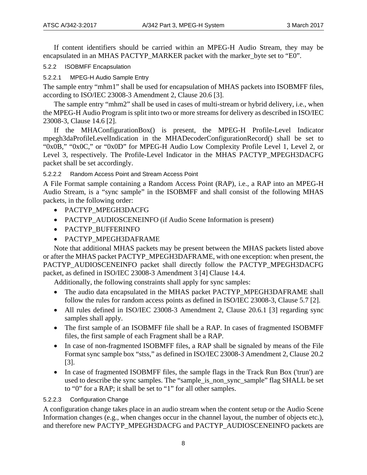If content identifiers should be carried within an MPEG-H Audio Stream, they may be encapsulated in an MHAS PACTYP\_MARKER packet with the marker\_byte set to "E0".

<span id="page-11-0"></span>5.2.2 ISOBMFF Encapsulation

5.2.2.1 MPEG-H Audio Sample Entry

The sample entry "mhm1" shall be used for encapsulation of MHAS packets into ISOBMFF files, according to ISO/IEC 23008-3 Amendment 2, Clause 20.6 [\[3\].](#page-4-8)

The sample entry "mhm2" shall be used in cases of multi-stream or hybrid delivery, i.e., when the MPEG-H Audio Program is split into two or more streams for delivery as described in ISO/IEC 23008-3, Clause 14.6 [\[2\].](#page-4-5)

If the MHAConfigurationBox() is present, the MPEG-H Profile-Level Indicator mpegh3daProfileLevelIndication in the MHADecoderConfigurationRecord() shall be set to "0x0B," "0x0C," or "0x0D" for MPEG-H Audio Low Complexity Profile Level 1, Level 2, or Level 3, respectively. The Profile-Level Indicator in the MHAS PACTYP\_MPEGH3DACFG packet shall be set accordingly.

## 5.2.2.2 Random Access Point and Stream Access Point

A File Format sample containing a Random Access Point (RAP), i.e., a RAP into an MPEG-H Audio Stream, is a "sync sample" in the ISOBMFF and shall consist of the following MHAS packets, in the following order:

- PACTYP MPEGH3DACFG
- PACTYP\_AUDIOSCENEINFO (if Audio Scene Information is present)
- PACTYP\_BUFFERINFO
- PACTYP\_MPEGH3DAFRAME

Note that additional MHAS packets may be present between the MHAS packets listed above or after the MHAS packet PACTYP\_MPEGH3DAFRAME, with one exception: when present, the PACTYP\_AUDIOSCENEINFO packet shall directly follow the PACTYP\_MPEGH3DACFG packet, as defined in ISO/IEC 23008-3 Amendment 3 [\[4\]](#page-4-6) Clause 14.4.

Additionally, the following constraints shall apply for sync samples:

- The audio data encapsulated in the MHAS packet PACTYP\_MPEGH3DAFRAME shall follow the rules for random access points as defined in ISO/IEC 23008-3, Clause 5.7 [\[2\].](#page-4-5)
- All rules defined in ISO/IEC 23008-3 Amendment 2, Clause 20.6.1 [\[3\]](#page-4-8) regarding sync samples shall apply.
- The first sample of an ISOBMFF file shall be a RAP. In cases of fragmented ISOBMFF files, the first sample of each Fragment shall be a RAP.
- In case of non-fragmented ISOBMFF files, a RAP shall be signaled by means of the File Format sync sample box "stss," as defined in ISO/IEC 23008-3 Amendment 2, Clause 20.2 [\[3\].](#page-4-8)
- In case of fragmented ISOBMFF files, the sample flags in the Track Run Box ('trun') are used to describe the sync samples. The "sample is non-sync-sample" flag SHALL be set to "0" for a RAP; it shall be set to "1" for all other samples.

## 5.2.2.3 Configuration Change

A configuration change takes place in an audio stream when the content setup or the Audio Scene Information changes (e.g., when changes occur in the channel layout, the number of objects etc.), and therefore new PACTYP\_MPEGH3DACFG and PACTYP\_AUDIOSCENEINFO packets are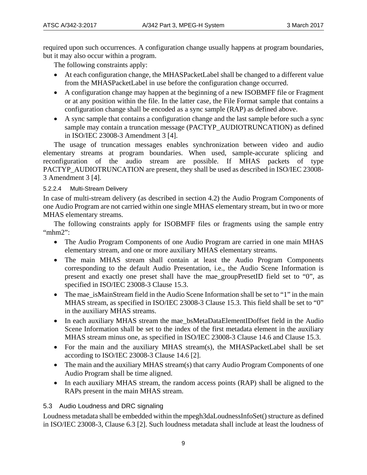required upon such occurrences. A configuration change usually happens at program boundaries, but it may also occur within a program.

The following constraints apply:

- At each configuration change, the MHASPacketLabel shall be changed to a different value from the MHASPacketLabel in use before the configuration change occurred.
- A configuration change may happen at the beginning of a new ISOBMFF file or Fragment or at any position within the file. In the latter case, the File Format sample that contains a configuration change shall be encoded as a sync sample (RAP) as defined above.
- A sync sample that contains a configuration change and the last sample before such a sync sample may contain a truncation message (PACTYP\_AUDIOTRUNCATION) as defined in ISO/IEC 23008-3 Amendment 3 [\[4\].](#page-4-6)

The usage of truncation messages enables synchronization between video and audio elementary streams at program boundaries. When used, sample-accurate splicing and reconfiguration of the audio stream are possible. If MHAS packets of type PACTYP\_AUDIOTRUNCATION are present, they shall be used as described in ISO/IEC 23008- 3 Amendment 3 [\[4\].](#page-4-6)

## 5.2.2.4 Multi-Stream Delivery

In case of multi-stream delivery (as described in section 4.2) the Audio Program Components of one Audio Program are not carried within one single MHAS elementary stream, but in two or more MHAS elementary streams.

The following constraints apply for ISOBMFF files or fragments using the sample entry "mhm2":

- The Audio Program Components of one Audio Program are carried in one main MHAS elementary stream, and one or more auxiliary MHAS elementary streams.
- The main MHAS stream shall contain at least the Audio Program Components corresponding to the default Audio Presentation, i.e., the Audio Scene Information is present and exactly one preset shall have the mae\_groupPresetID field set to "0", as specified in ISO/IEC 23008-3 Clause 15.3.
- The mae isMainStream field in the Audio Scene Information shall be set to "1" in the main MHAS stream, as specified in ISO/IEC 23008-3 Clause 15.3. This field shall be set to "0" in the auxiliary MHAS streams.
- In each auxiliary MHAS stream the mae bsMetaDataElementIDoffset field in the Audio Scene Information shall be set to the index of the first metadata element in the auxiliary MHAS stream minus one, as specified in ISO/IEC 23008-3 Clause 14.6 and Clause 15.3.
- For the main and the auxiliary MHAS stream(s), the MHASPacketLabel shall be set according to ISO/IEC 23008-3 Clause 14.6 [\[2\].](#page-4-5)
- The main and the auxiliary MHAS stream(s) that carry Audio Program Components of one Audio Program shall be time aligned.
- In each auxiliary MHAS stream, the random access points (RAP) shall be aligned to the RAPs present in the main MHAS stream.

## <span id="page-12-0"></span>5.3 Audio Loudness and DRC signaling

Loudness metadata shall be embedded within the mpegh3daLoudnessInfoSet() structure as defined in ISO/IEC 23008-3, Clause 6.3 [\[2\].](#page-4-5) Such loudness metadata shall include at least the loudness of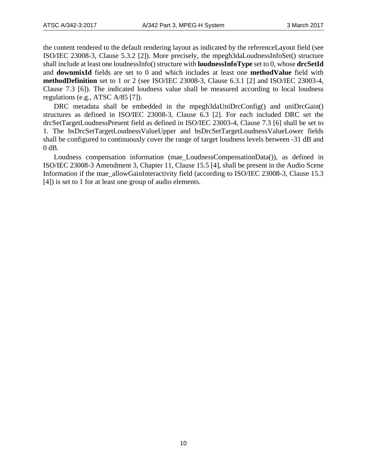the content rendered to the default rendering layout as indicated by the referenceLayout field (see ISO/IEC 23008-3, Clause 5.3.2 [\[2\]\)](#page-4-5). More precisely, the mpegh3daLoudnessInfoSet() structure shall include at least one loudnessInfo() structure with **loudnessInfoType** set to 0, whose **drcSetId** and **downmixId** fields are set to 0 and which includes at least one **methodValue** field with **methodDefinition** set to 1 or 2 (see ISO/IEC 23008-3, Clause 6.3.1 [\[2\]](#page-4-5) and ISO/IEC 23003-4, Clause 7.3 [\[6\]\)](#page-5-8). The indicated loudness value shall be measured according to local loudness regulations (e.g., ATSC A/85 [\[7\]\)](#page-5-6).

DRC metadata shall be embedded in the mpegh3daUniDrcConfig() and uniDrcGain() structures as defined in ISO/IEC 23008-3, Clause 6.3 [\[2\].](#page-4-5) For each included DRC set the drcSetTargetLoudnessPresent field as defined in ISO/IEC 23003-4, Clause 7.3 [\[6\]](#page-5-8) shall be set to 1. The bsDrcSetTargetLoudnessValueUpper and bsDrcSetTargetLoudnessValueLower fields shall be configured to continuously cover the range of target loudness levels between -31 dB and 0 dB.

Loudness compensation information (mae\_LoudnessCompensationData()), as defined in ISO/IEC 23008-3 Amendment 3, Chapter 11, Clause 15.5 [\[4\],](#page-4-6) shall be present in the Audio Scene Information if the mae\_allowGainInteractivity field (according to ISO/IEC 23008-3, Clause 15.3 [\[4\]\)](#page-4-6) is set to 1 for at least one group of audio elements.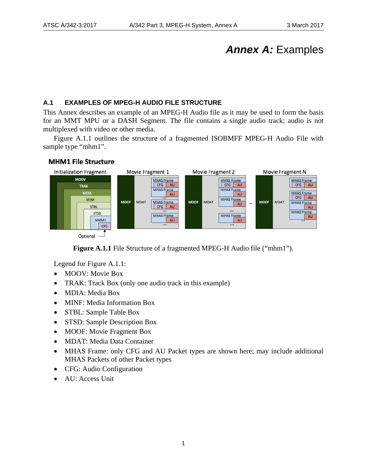# *Annex A:* Examples

## <span id="page-14-1"></span><span id="page-14-0"></span>**A.1 EXAMPLES OF MPEG-H AUDIO FILE STRUCTURE**

This Annex describes an example of an MPEG-H Audio file as it may be used to form the basis for an MMT MPU or a DASH Segment. The file contains a single audio track; audio is not multiplexed with video or other media.

Figure A.1.1 outlines the structure of a fragmented ISOBMFF MPEG-H Audio File with sample type "mhm1".



## **MHM1 File Structure**

**Figure A.1.1** File Structure of a fragmented MPEG-H Audio file ("mhm1").

<span id="page-14-2"></span>Legend for Figure A.1.1:

- MOOV: Movie Box
- TRAK: Track Box (only one audio track in this example)
- MDIA: Media Box
- MINF: Media Information Box
- STBL: Sample Table Box
- STSD: Sample Description Box
- MOOF: Movie Fragment Box
- MDAT: Media Data Container
- MHAS Frame: only CFG and AU Packet types are shown here; may include additional MHAS Packets of other Packet types
- CFG: Audio Configuration
- AU: Access Unit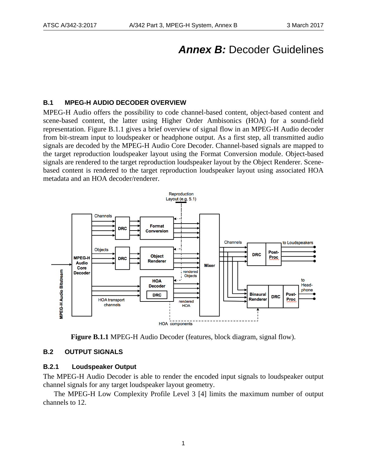# **Annex B: Decoder Guidelines**

## <span id="page-15-1"></span><span id="page-15-0"></span>**B.1 MPEG-H AUDIO DECODER OVERVIEW**

MPEG-H Audio offers the possibility to code channel-based content, object-based content and scene-based content, the latter using Higher Order Ambisonics (HOA) for a sound-field representation. Figure B.1.1 gives a brief overview of signal flow in an MPEG-H Audio decoder from bit-stream input to loudspeaker or headphone output. As a first step, all transmitted audio signals are decoded by the MPEG-H Audio Core Decoder. Channel-based signals are mapped to the target reproduction loudspeaker layout using the Format Conversion module. Object-based signals are rendered to the target reproduction loudspeaker layout by the Object Renderer. Scenebased content is rendered to the target reproduction loudspeaker layout using associated HOA metadata and an HOA decoder/renderer.



<span id="page-15-3"></span>**Figure B.1.1** MPEG-H Audio Decoder (features, block diagram, signal flow).

#### <span id="page-15-4"></span><span id="page-15-2"></span>**B.2 OUTPUT SIGNALS**

## **B.2.1 Loudspeaker Output**

The MPEG-H Audio Decoder is able to render the encoded input signals to loudspeaker output channel signals for any target loudspeaker layout geometry.

The MPEG-H Low Complexity Profile Level 3 [\[4\]](#page-4-6) limits the maximum number of output channels to 12.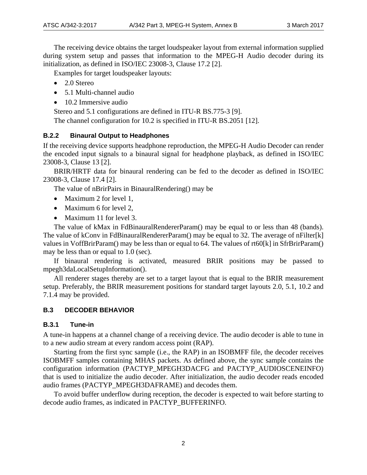The receiving device obtains the target loudspeaker layout from external information supplied during system setup and passes that information to the MPEG-H Audio decoder during its initialization, as defined in ISO/IEC 23008-3, Clause 17.2 [\[2\].](#page-4-5)

Examples for target loudspeaker layouts:

- 2.0 Stereo
- 5.1 Multi-channel audio
- 10.2 Immersive audio

Stereo and 5.1 configurations are defined in ITU-R BS.775-3 [\[9\].](#page-5-9)

The channel configuration for 10.2 is specified in ITU-R BS.2051 [\[12\].](#page-5-10)

## <span id="page-16-0"></span>**B.2.2 Binaural Output to Headphones**

If the receiving device supports headphone reproduction, the MPEG-H Audio Decoder can render the encoded input signals to a binaural signal for headphone playback, as defined in ISO/IEC 23008-3, Clause 13 [\[2\].](#page-4-5)

BRIR/HRTF data for binaural rendering can be fed to the decoder as defined in ISO/IEC 23008-3, Clause 17.4 [\[2\].](#page-4-5)

The value of nBrirPairs in BinauralRendering() may be

- Maximum 2 for level 1,
- Maximum 6 for level 2.
- Maximum 11 for level 3.

The value of kMax in FdBinauralRendererParam() may be equal to or less than 48 (bands). The value of kConv in FdBinauralRendererParam() may be equal to 32. The average of nFilter[k] values in VoffBrirParam() may be less than or equal to 64. The values of rt60[k] in SfrBrirParam() may be less than or equal to 1.0 (sec).

If binaural rendering is activated, measured BRIR positions may be passed to mpegh3daLocalSetupInformation().

All renderer stages thereby are set to a target layout that is equal to the BRIR measurement setup. Preferably, the BRIR measurement positions for standard target layouts 2.0, 5.1, 10.2 and 7.1.4 may be provided.

## <span id="page-16-1"></span>**B.3 DECODER BEHAVIOR**

## <span id="page-16-2"></span>**B.3.1 Tune-in**

A tune-in happens at a channel change of a receiving device. The audio decoder is able to tune in to a new audio stream at every random access point (RAP).

Starting from the first sync sample (i.e., the RAP) in an ISOBMFF file, the decoder receives ISOBMFF samples containing MHAS packets. As defined above, the sync sample contains the configuration information (PACTYP\_MPEGH3DACFG and PACTYP\_AUDIOSCENEINFO) that is used to initialize the audio decoder. After initialization, the audio decoder reads encoded audio frames (PACTYP\_MPEGH3DAFRAME) and decodes them.

To avoid buffer underflow during reception, the decoder is expected to wait before starting to decode audio frames, as indicated in PACTYP\_BUFFERINFO.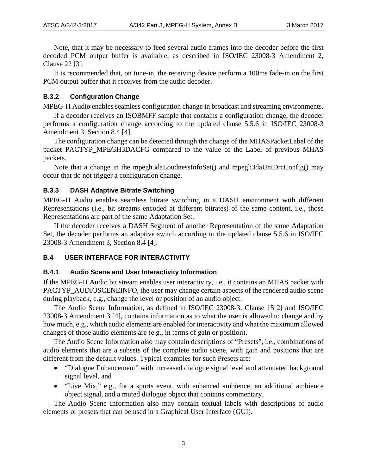Note, that it may be necessary to feed several audio frames into the decoder before the first decoded PCM output buffer is available, as described in ISO/IEC 23008-3 Amendment 2, Clause 22 [\[3\].](#page-4-8)

It is recommended that, on tune-in, the receiving device perform a 100ms fade-in on the first PCM output buffer that it receives from the audio decoder.

## <span id="page-17-0"></span>**B.3.2 Configuration Change**

MPEG-H Audio enables seamless configuration change in broadcast and streaming environments.

If a decoder receives an ISOBMFF sample that contains a configuration change, the decoder performs a configuration change according to the updated clause 5.5.6 in ISO/IEC 23008-3 Amendment 3, Section 8.4 [\[4\].](#page-4-6)

The configuration change can be detected through the change of the MHASPacketLabel of the packet PACTYP\_MPEGH3DACFG compared to the value of the Label of previous MHAS packets.

Note that a change in the mpegh3daLoudnessInfoSet() and mpegh3daUniDrcConfig() may occur that do not trigger a configuration change.

## <span id="page-17-1"></span>**B.3.3 DASH Adaptive Bitrate Switching**

MPEG-H Audio enables seamless bitrate switching in a DASH environment with different Representations (i.e., bit streams encoded at different bitrates) of the same content, i.e., those Representations are part of the same Adaptation Set.

If the decoder receives a DASH Segment of another Representation of the same Adaptation Set, the decoder performs an adaptive switch according to the updated clause 5.5.6 in ISO/IEC 23008-3 Amendment 3, Section 8.4 [\[4\].](#page-4-6)

## <span id="page-17-2"></span>**B.4 USER INTERFACE FOR INTERACTIVITY**

#### <span id="page-17-3"></span>**B.4.1 Audio Scene and User Interactivity Information**

If the MPEG-H Audio bit stream enables user interactivity, i.e., it contains an MHAS packet with PACTYP\_AUDIOSCENEINFO, the user may change certain aspects of the rendered audio scene during playback, e.g., change the level or position of an audio object.

The Audio Scene Information, as defined in ISO/IEC 23008-3, Clause 1[5\[2\]](#page-4-5) and ISO/IEC 23008-3 Amendment 3 [\[4\],](#page-4-6) contains information as to what the user is allowed to change and by how much, e.g., which audio elements are enabled for interactivity and what the maximum allowed changes of those audio elements are (e.g., in terms of gain or position).

The Audio Scene Information also may contain descriptions of "Presets", i.e., combinations of audio elements that are a subsets of the complete audio scene, with gain and positions that are different from the default values. Typical examples for such Presets are:

- "Dialogue Enhancement" with increased dialogue signal level and attenuated background signal level, and
- "Live Mix," e.g., for a sports event, with enhanced ambience, an additional ambience object signal, and a muted dialogue object that contains commentary.

The Audio Scene Information also may contain textual labels with descriptions of audio elements or presets that can be used in a Graphical User Interface (GUI).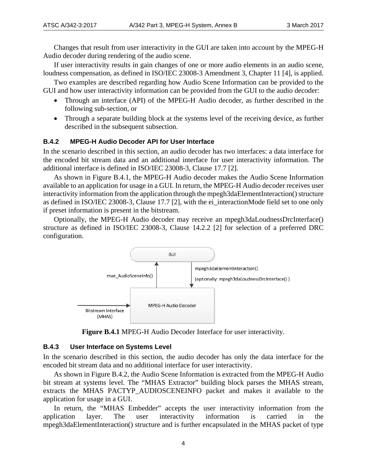Changes that result from user interactivity in the GUI are taken into account by the MPEG-H Audio decoder during rendering of the audio scene.

If user interactivity results in gain changes of one or more audio elements in an audio scene, loudness compensation, as defined in ISO/IEC 23008-3 Amendment 3, Chapter 11 [\[4\],](#page-4-6) is applied.

Two examples are described regarding how Audio Scene Information can be provided to the GUI and how user interactivity information can be provided from the GUI to the audio decoder:

- Through an interface (API) of the MPEG-H Audio decoder, as further described in the following sub-section, or
- Through a separate building block at the systems level of the receiving device, as further described in the subsequent subsection.

#### <span id="page-18-0"></span>**B.4.2 MPEG-H Audio Decoder API for User Interface**

In the scenario described in this section, an audio decoder has two interfaces: a data interface for the encoded bit stream data and an additional interface for user interactivity information. The additional interface is defined in ISO/IEC 23008-3, Clause 17.7 [\[2\].](#page-4-5)

As shown in Figure B.4.1, the MPEG-H Audio decoder makes the Audio Scene Information available to an application for usage in a GUI. In return, the MPEG-H Audio decoder receives user interactivity information from the application through the mpegh3daElementInteraction() structure as defined in ISO/IEC 23008-3, Clause 17.7 [\[2\],](#page-4-5) with the ei\_interactionMode field set to one only if preset information is present in the bitstream.

Optionally, the MPEG-H Audio decoder may receive an mpegh3daLoudnessDrcInterface() structure as defined in ISO/IEC 23008-3, Clause 14.2.2 [\[2\]](#page-4-5) for selection of a preferred DRC configuration.



**Figure B.4.1** MPEG-H Audio Decoder Interface for user interactivity.

#### <span id="page-18-2"></span><span id="page-18-1"></span>**B.4.3 User Interface on Systems Level**

In the scenario described in this section, the audio decoder has only the data interface for the encoded bit stream data and no additional interface for user interactivity.

As shown in Figure B.4.2, the Audio Scene Information is extracted from the MPEG-H Audio bit stream at systems level. The "MHAS Extractor" building block parses the MHAS stream, extracts the MHAS PACTYP\_AUDIOSCENEINFO packet and makes it available to the application for usage in a GUI.

In return, the "MHAS Embedder" accepts the user interactivity information from the application layer. The user interactivity information is carried in the mpegh3daElementInteraction() structure and is further encapsulated in the MHAS packet of type